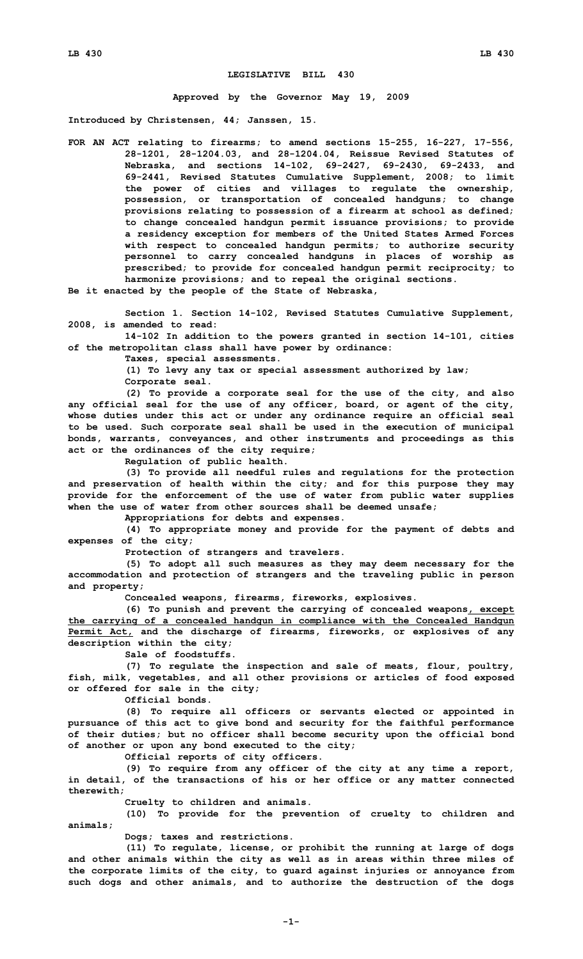## **LEGISLATIVE BILL 430**

**Approved by the Governor May 19, 2009**

**Introduced by Christensen, 44; Janssen, 15.**

**FOR AN ACT relating to firearms; to amend sections 15-255, 16-227, 17-556, 28-1201, 28-1204.03, and 28-1204.04, Reissue Revised Statutes of Nebraska, and sections 14-102, 69-2427, 69-2430, 69-2433, and 69-2441, Revised Statutes Cumulative Supplement, 2008; to limit the power of cities and villages to regulate the ownership, possession, or transportation of concealed handguns; to change provisions relating to possession of <sup>a</sup> firearm at school as defined; to change concealed handgun permit issuance provisions; to provide <sup>a</sup> residency exception for members of the United States Armed Forces with respect to concealed handgun permits; to authorize security personnel to carry concealed handguns in places of worship as prescribed; to provide for concealed handgun permit reciprocity; to harmonize provisions; and to repeal the original sections.**

**Be it enacted by the people of the State of Nebraska,**

**Section 1. Section 14-102, Revised Statutes Cumulative Supplement, 2008, is amended to read:**

**14-102 In addition to the powers granted in section 14-101, cities of the metropolitan class shall have power by ordinance:**

**Taxes, special assessments.**

**(1) To levy any tax or special assessment authorized by law;**

**Corporate seal.**

**(2) To provide <sup>a</sup> corporate seal for the use of the city, and also any official seal for the use of any officer, board, or agent of the city, whose duties under this act or under any ordinance require an official seal to be used. Such corporate seal shall be used in the execution of municipal bonds, warrants, conveyances, and other instruments and proceedings as this act or the ordinances of the city require;**

**Regulation of public health.**

**(3) To provide all needful rules and regulations for the protection and preservation of health within the city; and for this purpose they may provide for the enforcement of the use of water from public water supplies when the use of water from other sources shall be deemed unsafe;**

**Appropriations for debts and expenses.**

**(4) To appropriate money and provide for the payment of debts and expenses of the city;**

**Protection of strangers and travelers.**

**(5) To adopt all such measures as they may deem necessary for the accommodation and protection of strangers and the traveling public in person and property;**

**Concealed weapons, firearms, fireworks, explosives.**

**(6) To punish and prevent the carrying of concealed weapons, except the carrying of <sup>a</sup> concealed handgun in compliance with the Concealed Handgun Permit Act, and the discharge of firearms, fireworks, or explosives of any description within the city;**

**Sale of foodstuffs.**

**(7) To regulate the inspection and sale of meats, flour, poultry, fish, milk, vegetables, and all other provisions or articles of food exposed or offered for sale in the city;**

**Official bonds.**

**(8) To require all officers or servants elected or appointed in pursuance of this act to give bond and security for the faithful performance of their duties; but no officer shall become security upon the official bond of another or upon any bond executed to the city;**

**Official reports of city officers.**

**(9) To require from any officer of the city at any time <sup>a</sup> report, in detail, of the transactions of his or her office or any matter connected therewith;**

**Cruelty to children and animals.**

**(10) To provide for the prevention of cruelty to children and animals;**

**Dogs; taxes and restrictions.**

**(11) To regulate, license, or prohibit the running at large of dogs and other animals within the city as well as in areas within three miles of the corporate limits of the city, to guard against injuries or annoyance from such dogs and other animals, and to authorize the destruction of the dogs**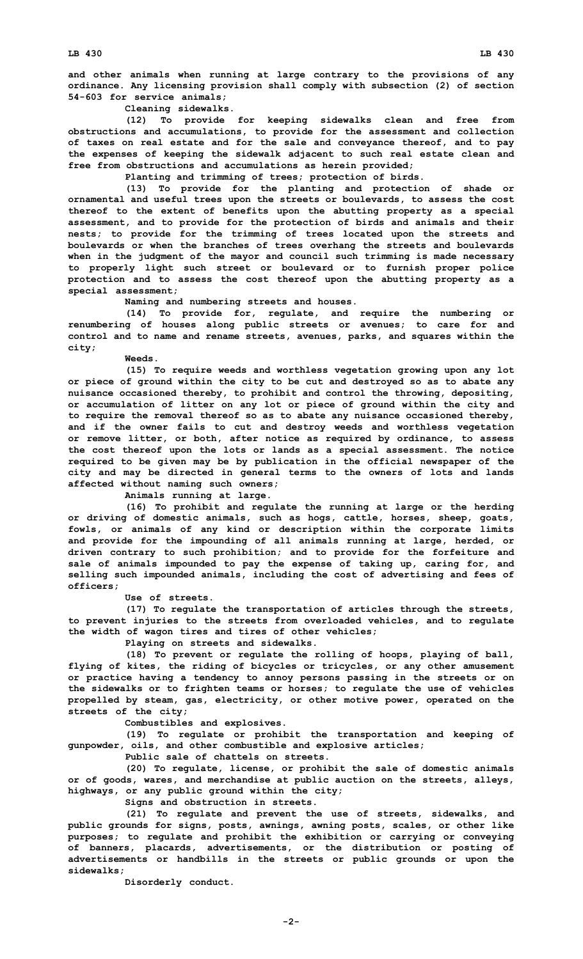**and other animals when running at large contrary to the provisions of any ordinance. Any licensing provision shall comply with subsection (2) of section 54-603 for service animals;**

**Cleaning sidewalks.**

**(12) To provide for keeping sidewalks clean and free from obstructions and accumulations, to provide for the assessment and collection of taxes on real estate and for the sale and conveyance thereof, and to pay the expenses of keeping the sidewalk adjacent to such real estate clean and free from obstructions and accumulations as herein provided;**

**Planting and trimming of trees; protection of birds.**

**(13) To provide for the planting and protection of shade or ornamental and useful trees upon the streets or boulevards, to assess the cost thereof to the extent of benefits upon the abutting property as <sup>a</sup> special assessment, and to provide for the protection of birds and animals and their nests; to provide for the trimming of trees located upon the streets and boulevards or when the branches of trees overhang the streets and boulevards when in the judgment of the mayor and council such trimming is made necessary to properly light such street or boulevard or to furnish proper police protection and to assess the cost thereof upon the abutting property as <sup>a</sup> special assessment;**

**Naming and numbering streets and houses.**

**(14) To provide for, regulate, and require the numbering or renumbering of houses along public streets or avenues; to care for and control and to name and rename streets, avenues, parks, and squares within the city;**

**Weeds.**

**(15) To require weeds and worthless vegetation growing upon any lot or piece of ground within the city to be cut and destroyed so as to abate any nuisance occasioned thereby, to prohibit and control the throwing, depositing, or accumulation of litter on any lot or piece of ground within the city and to require the removal thereof so as to abate any nuisance occasioned thereby, and if the owner fails to cut and destroy weeds and worthless vegetation or remove litter, or both, after notice as required by ordinance, to assess the cost thereof upon the lots or lands as <sup>a</sup> special assessment. The notice required to be given may be by publication in the official newspaper of the city and may be directed in general terms to the owners of lots and lands affected without naming such owners;**

**Animals running at large.**

**(16) To prohibit and regulate the running at large or the herding or driving of domestic animals, such as hogs, cattle, horses, sheep, goats, fowls, or animals of any kind or description within the corporate limits and provide for the impounding of all animals running at large, herded, or driven contrary to such prohibition; and to provide for the forfeiture and sale of animals impounded to pay the expense of taking up, caring for, and selling such impounded animals, including the cost of advertising and fees of officers;**

**Use of streets.**

**(17) To regulate the transportation of articles through the streets, to prevent injuries to the streets from overloaded vehicles, and to regulate the width of wagon tires and tires of other vehicles;**

**Playing on streets and sidewalks.**

**(18) To prevent or regulate the rolling of hoops, playing of ball, flying of kites, the riding of bicycles or tricycles, or any other amusement or practice having <sup>a</sup> tendency to annoy persons passing in the streets or on the sidewalks or to frighten teams or horses; to regulate the use of vehicles propelled by steam, gas, electricity, or other motive power, operated on the streets of the city;**

**Combustibles and explosives.**

**(19) To regulate or prohibit the transportation and keeping of gunpowder, oils, and other combustible and explosive articles;**

**Public sale of chattels on streets.**

**(20) To regulate, license, or prohibit the sale of domestic animals or of goods, wares, and merchandise at public auction on the streets, alleys, highways, or any public ground within the city;**

**Signs and obstruction in streets.**

**(21) To regulate and prevent the use of streets, sidewalks, and public grounds for signs, posts, awnings, awning posts, scales, or other like purposes; to regulate and prohibit the exhibition or carrying or conveying of banners, placards, advertisements, or the distribution or posting of advertisements or handbills in the streets or public grounds or upon the sidewalks;**

**Disorderly conduct.**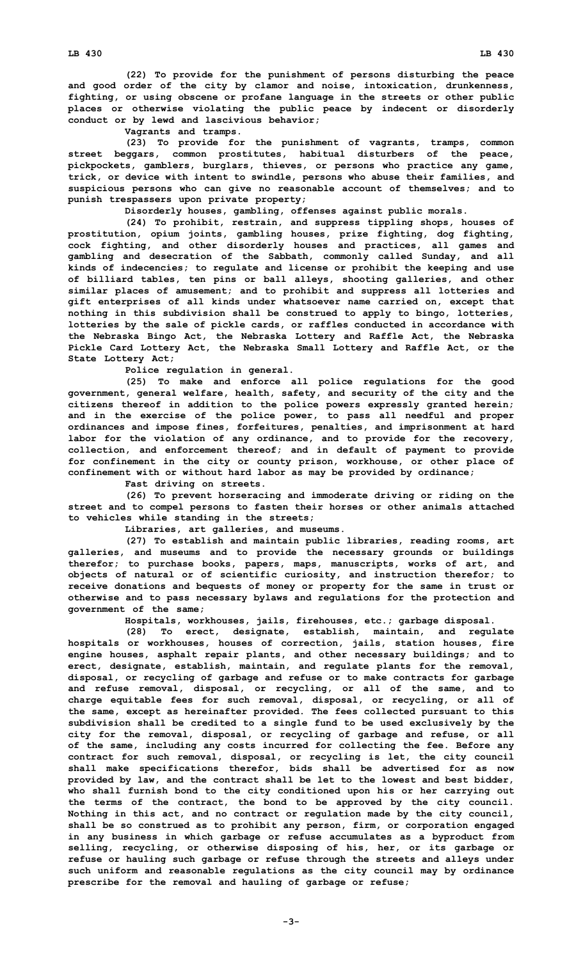**(22) To provide for the punishment of persons disturbing the peace and good order of the city by clamor and noise, intoxication, drunkenness, fighting, or using obscene or profane language in the streets or other public places or otherwise violating the public peace by indecent or disorderly conduct or by lewd and lascivious behavior;**

**Vagrants and tramps.**

**(23) To provide for the punishment of vagrants, tramps, common street beggars, common prostitutes, habitual disturbers of the peace, pickpockets, gamblers, burglars, thieves, or persons who practice any game, trick, or device with intent to swindle, persons who abuse their families, and suspicious persons who can give no reasonable account of themselves; and to punish trespassers upon private property;**

**Disorderly houses, gambling, offenses against public morals.**

**(24) To prohibit, restrain, and suppress tippling shops, houses of prostitution, opium joints, gambling houses, prize fighting, dog fighting, cock fighting, and other disorderly houses and practices, all games and gambling and desecration of the Sabbath, commonly called Sunday, and all kinds of indecencies; to regulate and license or prohibit the keeping and use of billiard tables, ten pins or ball alleys, shooting galleries, and other similar places of amusement; and to prohibit and suppress all lotteries and gift enterprises of all kinds under whatsoever name carried on, except that nothing in this subdivision shall be construed to apply to bingo, lotteries, lotteries by the sale of pickle cards, or raffles conducted in accordance with the Nebraska Bingo Act, the Nebraska Lottery and Raffle Act, the Nebraska Pickle Card Lottery Act, the Nebraska Small Lottery and Raffle Act, or the State Lottery Act;**

**Police regulation in general.**

**(25) To make and enforce all police regulations for the good government, general welfare, health, safety, and security of the city and the citizens thereof in addition to the police powers expressly granted herein; and in the exercise of the police power, to pass all needful and proper ordinances and impose fines, forfeitures, penalties, and imprisonment at hard labor for the violation of any ordinance, and to provide for the recovery, collection, and enforcement thereof; and in default of payment to provide for confinement in the city or county prison, workhouse, or other place of confinement with or without hard labor as may be provided by ordinance;**

**Fast driving on streets.**

**(26) To prevent horseracing and immoderate driving or riding on the street and to compel persons to fasten their horses or other animals attached to vehicles while standing in the streets;**

**Libraries, art galleries, and museums.**

**(27) To establish and maintain public libraries, reading rooms, art galleries, and museums and to provide the necessary grounds or buildings therefor; to purchase books, papers, maps, manuscripts, works of art, and objects of natural or of scientific curiosity, and instruction therefor; to receive donations and bequests of money or property for the same in trust or otherwise and to pass necessary bylaws and regulations for the protection and government of the same;**

**Hospitals, workhouses, jails, firehouses, etc.; garbage disposal.**

**(28) To erect, designate, establish, maintain, and regulate hospitals or workhouses, houses of correction, jails, station houses, fire engine houses, asphalt repair plants, and other necessary buildings; and to erect, designate, establish, maintain, and regulate plants for the removal, disposal, or recycling of garbage and refuse or to make contracts for garbage and refuse removal, disposal, or recycling, or all of the same, and to charge equitable fees for such removal, disposal, or recycling, or all of the same, except as hereinafter provided. The fees collected pursuant to this subdivision shall be credited to <sup>a</sup> single fund to be used exclusively by the city for the removal, disposal, or recycling of garbage and refuse, or all of the same, including any costs incurred for collecting the fee. Before any contract for such removal, disposal, or recycling is let, the city council shall make specifications therefor, bids shall be advertised for as now provided by law, and the contract shall be let to the lowest and best bidder, who shall furnish bond to the city conditioned upon his or her carrying out the terms of the contract, the bond to be approved by the city council. Nothing in this act, and no contract or regulation made by the city council, shall be so construed as to prohibit any person, firm, or corporation engaged in any business in which garbage or refuse accumulates as <sup>a</sup> byproduct from selling, recycling, or otherwise disposing of his, her, or its garbage or refuse or hauling such garbage or refuse through the streets and alleys under such uniform and reasonable regulations as the city council may by ordinance prescribe for the removal and hauling of garbage or refuse;**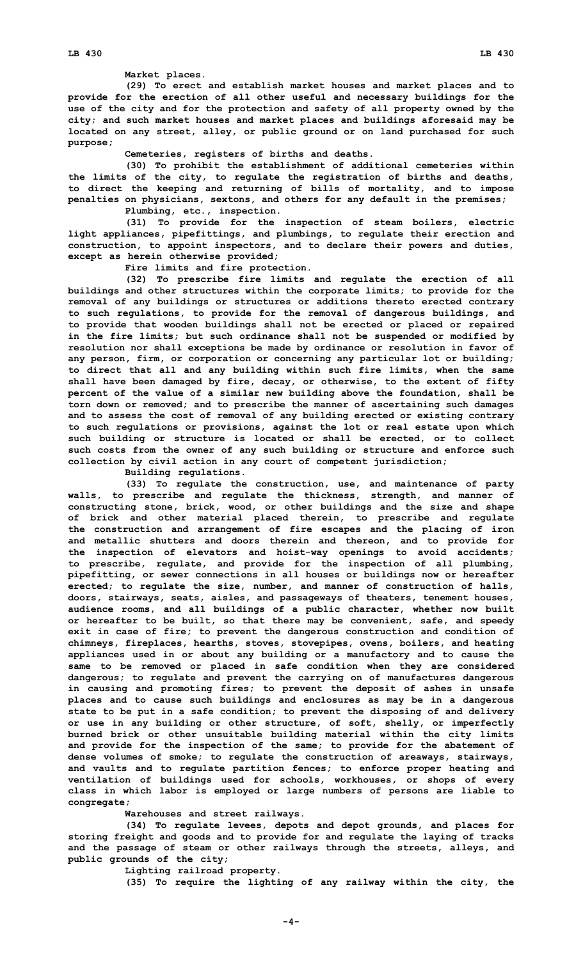**Market places.**

**(29) To erect and establish market houses and market places and to provide for the erection of all other useful and necessary buildings for the use of the city and for the protection and safety of all property owned by the city; and such market houses and market places and buildings aforesaid may be located on any street, alley, or public ground or on land purchased for such purpose;**

**Cemeteries, registers of births and deaths.**

**(30) To prohibit the establishment of additional cemeteries within the limits of the city, to regulate the registration of births and deaths, to direct the keeping and returning of bills of mortality, and to impose penalties on physicians, sextons, and others for any default in the premises; Plumbing, etc., inspection.**

**(31) To provide for the inspection of steam boilers, electric light appliances, pipefittings, and plumbings, to regulate their erection and construction, to appoint inspectors, and to declare their powers and duties, except as herein otherwise provided;**

**Fire limits and fire protection.**

**(32) To prescribe fire limits and regulate the erection of all buildings and other structures within the corporate limits; to provide for the removal of any buildings or structures or additions thereto erected contrary to such regulations, to provide for the removal of dangerous buildings, and to provide that wooden buildings shall not be erected or placed or repaired in the fire limits; but such ordinance shall not be suspended or modified by resolution nor shall exceptions be made by ordinance or resolution in favor of any person, firm, or corporation or concerning any particular lot or building; to direct that all and any building within such fire limits, when the same shall have been damaged by fire, decay, or otherwise, to the extent of fifty percent of the value of <sup>a</sup> similar new building above the foundation, shall be torn down or removed; and to prescribe the manner of ascertaining such damages and to assess the cost of removal of any building erected or existing contrary to such regulations or provisions, against the lot or real estate upon which such building or structure is located or shall be erected, or to collect such costs from the owner of any such building or structure and enforce such collection by civil action in any court of competent jurisdiction;**

**Building regulations.**

**(33) To regulate the construction, use, and maintenance of party walls, to prescribe and regulate the thickness, strength, and manner of constructing stone, brick, wood, or other buildings and the size and shape of brick and other material placed therein, to prescribe and regulate the construction and arrangement of fire escapes and the placing of iron and metallic shutters and doors therein and thereon, and to provide for the inspection of elevators and hoist-way openings to avoid accidents; to prescribe, regulate, and provide for the inspection of all plumbing, pipefitting, or sewer connections in all houses or buildings now or hereafter erected; to regulate the size, number, and manner of construction of halls, doors, stairways, seats, aisles, and passageways of theaters, tenement houses, audience rooms, and all buildings of <sup>a</sup> public character, whether now built or hereafter to be built, so that there may be convenient, safe, and speedy exit in case of fire; to prevent the dangerous construction and condition of chimneys, fireplaces, hearths, stoves, stovepipes, ovens, boilers, and heating appliances used in or about any building or <sup>a</sup> manufactory and to cause the same to be removed or placed in safe condition when they are considered dangerous; to regulate and prevent the carrying on of manufactures dangerous in causing and promoting fires; to prevent the deposit of ashes in unsafe places and to cause such buildings and enclosures as may be in <sup>a</sup> dangerous state to be put in <sup>a</sup> safe condition; to prevent the disposing of and delivery or use in any building or other structure, of soft, shelly, or imperfectly burned brick or other unsuitable building material within the city limits and provide for the inspection of the same; to provide for the abatement of dense volumes of smoke; to regulate the construction of areaways, stairways, and vaults and to regulate partition fences; to enforce proper heating and ventilation of buildings used for schools, workhouses, or shops of every class in which labor is employed or large numbers of persons are liable to congregate;**

**Warehouses and street railways.**

**(34) To regulate levees, depots and depot grounds, and places for storing freight and goods and to provide for and regulate the laying of tracks and the passage of steam or other railways through the streets, alleys, and public grounds of the city;**

**Lighting railroad property.**

**(35) To require the lighting of any railway within the city, the**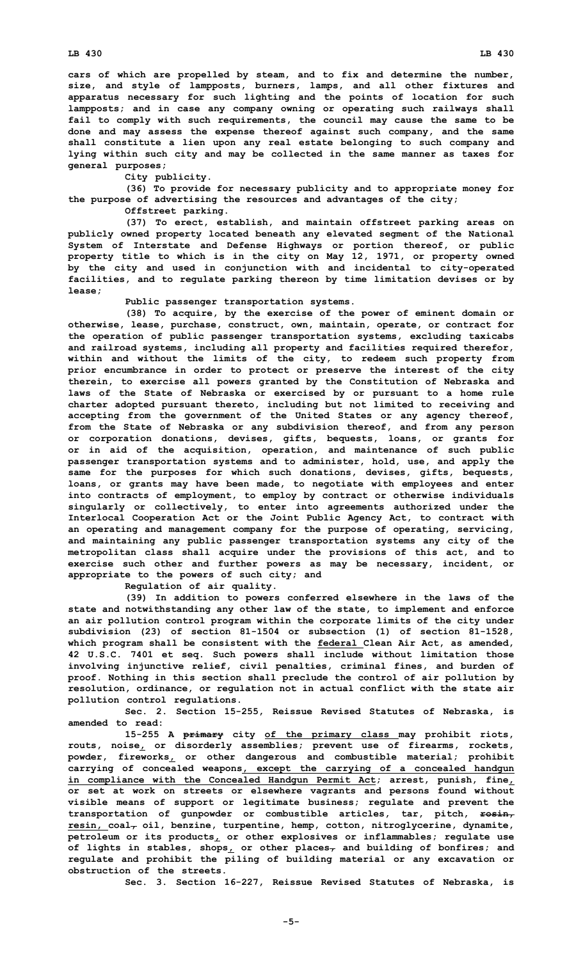**cars of which are propelled by steam, and to fix and determine the number, size, and style of lampposts, burners, lamps, and all other fixtures and apparatus necessary for such lighting and the points of location for such lampposts; and in case any company owning or operating such railways shall fail to comply with such requirements, the council may cause the same to be done and may assess the expense thereof against such company, and the same shall constitute <sup>a</sup> lien upon any real estate belonging to such company and lying within such city and may be collected in the same manner as taxes for general purposes;**

**City publicity.**

**(36) To provide for necessary publicity and to appropriate money for the purpose of advertising the resources and advantages of the city;**

**Offstreet parking.**

**(37) To erect, establish, and maintain offstreet parking areas on publicly owned property located beneath any elevated segment of the National System of Interstate and Defense Highways or portion thereof, or public property title to which is in the city on May 12, 1971, or property owned by the city and used in conjunction with and incidental to city-operated facilities, and to regulate parking thereon by time limitation devises or by lease;**

**Public passenger transportation systems.**

**(38) To acquire, by the exercise of the power of eminent domain or otherwise, lease, purchase, construct, own, maintain, operate, or contract for the operation of public passenger transportation systems, excluding taxicabs and railroad systems, including all property and facilities required therefor, within and without the limits of the city, to redeem such property from prior encumbrance in order to protect or preserve the interest of the city therein, to exercise all powers granted by the Constitution of Nebraska and laws of the State of Nebraska or exercised by or pursuant to <sup>a</sup> home rule charter adopted pursuant thereto, including but not limited to receiving and accepting from the government of the United States or any agency thereof, from the State of Nebraska or any subdivision thereof, and from any person or corporation donations, devises, gifts, bequests, loans, or grants for or in aid of the acquisition, operation, and maintenance of such public passenger transportation systems and to administer, hold, use, and apply the same for the purposes for which such donations, devises, gifts, bequests, loans, or grants may have been made, to negotiate with employees and enter into contracts of employment, to employ by contract or otherwise individuals singularly or collectively, to enter into agreements authorized under the Interlocal Cooperation Act or the Joint Public Agency Act, to contract with an operating and management company for the purpose of operating, servicing, and maintaining any public passenger transportation systems any city of the metropolitan class shall acquire under the provisions of this act, and to exercise such other and further powers as may be necessary, incident, or appropriate to the powers of such city; and**

**Regulation of air quality.**

**(39) In addition to powers conferred elsewhere in the laws of the state and notwithstanding any other law of the state, to implement and enforce an air pollution control program within the corporate limits of the city under subdivision (23) of section 81-1504 or subsection (1) of section 81-1528, which program shall be consistent with the federal Clean Air Act, as amended, 42 U.S.C. 7401 et seq. Such powers shall include without limitation those involving injunctive relief, civil penalties, criminal fines, and burden of proof. Nothing in this section shall preclude the control of air pollution by resolution, ordinance, or regulation not in actual conflict with the state air pollution control regulations.**

**Sec. 2. Section 15-255, Reissue Revised Statutes of Nebraska, is amended to read:**

**15-255 <sup>A</sup> primary city of the primary class may prohibit riots, routs, noise, or disorderly assemblies; prevent use of firearms, rockets, powder, fireworks, or other dangerous and combustible material; prohibit carrying of concealed weapons, except the carrying of <sup>a</sup> concealed handgun in compliance with the Concealed Handgun Permit Act; arrest, punish, fine, or set at work on streets or elsewhere vagrants and persons found without visible means of support or legitimate business; regulate and prevent the transportation of gunpowder or combustible articles, tar, pitch, rosin,**  $resin, coal, oil, benzine, turnentine, hemp, cothon, nitroglycerine, dynamic,$ </u> **petroleum or its products, or other explosives or inflammables; regulate use of lights in stables, shops, or other places, and building of bonfires; and regulate and prohibit the piling of building material or any excavation or obstruction of the streets.**

**Sec. 3. Section 16-227, Reissue Revised Statutes of Nebraska, is**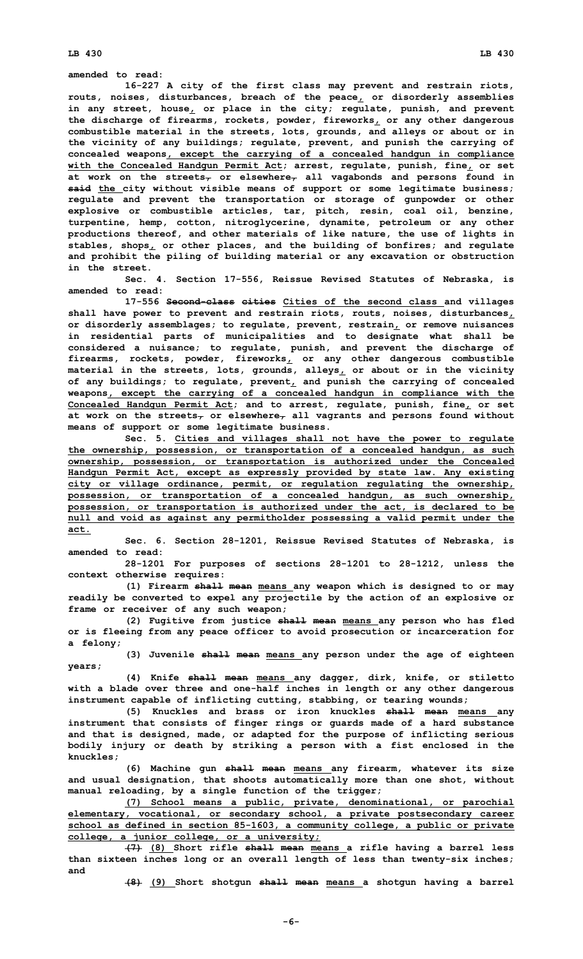**LB 430 LB 430**

**amended to read:**

**16-227 <sup>A</sup> city of the first class may prevent and restrain riots, routs, noises, disturbances, breach of the peace, or disorderly assemblies in any street, house, or place in the city; regulate, punish, and prevent the discharge of firearms, rockets, powder, fireworks, or any other dangerous combustible material in the streets, lots, grounds, and alleys or about or in the vicinity of any buildings; regulate, prevent, and punish the carrying of concealed weapons, except the carrying of <sup>a</sup> concealed handgun in compliance with the Concealed Handgun Permit Act; arrest, regulate, punish, fine, or set at work on the streets, or elsewhere, all vagabonds and persons found in said the city without visible means of support or some legitimate business; regulate and prevent the transportation or storage of gunpowder or other explosive or combustible articles, tar, pitch, resin, coal oil, benzine, turpentine, hemp, cotton, nitroglycerine, dynamite, petroleum or any other productions thereof, and other materials of like nature, the use of lights in stables, shops, or other places, and the building of bonfires; and regulate and prohibit the piling of building material or any excavation or obstruction in the street.**

**Sec. 4. Section 17-556, Reissue Revised Statutes of Nebraska, is amended to read:**

**17-556 Second-class cities Cities of the second class and villages shall have power to prevent and restrain riots, routs, noises, disturbances, or disorderly assemblages; to regulate, prevent, restrain, or remove nuisances in residential parts of municipalities and to designate what shall be considered <sup>a</sup> nuisance; to regulate, punish, and prevent the discharge of firearms, rockets, powder, fireworks, or any other dangerous combustible material in the streets, lots, grounds, alleys, or about or in the vicinity of any buildings; to regulate, prevent, and punish the carrying of concealed weapons, except the carrying of <sup>a</sup> concealed handgun in compliance with the Concealed Handgun Permit Act; and to arrest, regulate, punish, fine, or set at work on the streets, or elsewhere, all vagrants and persons found without means of support or some legitimate business.**

**Sec. 5. Cities and villages shall not have the power to regulate the ownership, possession, or transportation of <sup>a</sup> concealed handgun, as such ownership, possession, or transportation is authorized under the Concealed Handgun Permit Act, except as expressly provided by state law. Any existing city or village ordinance, permit, or regulation regulating the ownership, possession, or transportation of <sup>a</sup> concealed handgun, as such ownership, possession, or transportation is authorized under the act, is declared to be null and void as against any permitholder possessing <sup>a</sup> valid permit under the act.**

**Sec. 6. Section 28-1201, Reissue Revised Statutes of Nebraska, is amended to read:**

**28-1201 For purposes of sections 28-1201 to 28-1212, unless the context otherwise requires:**

**(1) Firearm shall mean means any weapon which is designed to or may readily be converted to expel any projectile by the action of an explosive or frame or receiver of any such weapon;**

**(2) Fugitive from justice shall mean means any person who has fled or is fleeing from any peace officer to avoid prosecution or incarceration for <sup>a</sup> felony;**

**(3) Juvenile shall mean means any person under the age of eighteen years;**

**(4) Knife shall mean means any dagger, dirk, knife, or stiletto with <sup>a</sup> blade over three and one-half inches in length or any other dangerous instrument capable of inflicting cutting, stabbing, or tearing wounds;**

**(5) Knuckles and brass or iron knuckles shall mean means any instrument that consists of finger rings or guards made of <sup>a</sup> hard substance and that is designed, made, or adapted for the purpose of inflicting serious bodily injury or death by striking <sup>a</sup> person with <sup>a</sup> fist enclosed in the knuckles;**

**(6) Machine gun shall mean means any firearm, whatever its size and usual designation, that shoots automatically more than one shot, without manual reloading, by <sup>a</sup> single function of the trigger;**

**(7) School means <sup>a</sup> public, private, denominational, or parochial elementary, vocational, or secondary school, <sup>a</sup> private postsecondary career school as defined in section 85-1603, <sup>a</sup> community college, <sup>a</sup> public or private college, <sup>a</sup> junior college, or <sup>a</sup> university;**

**(7) (8) Short rifle shall mean means <sup>a</sup> rifle having <sup>a</sup> barrel less than sixteen inches long or an overall length of less than twenty-six inches; and**

**(8) (9) Short shotgun shall mean means <sup>a</sup> shotgun having <sup>a</sup> barrel**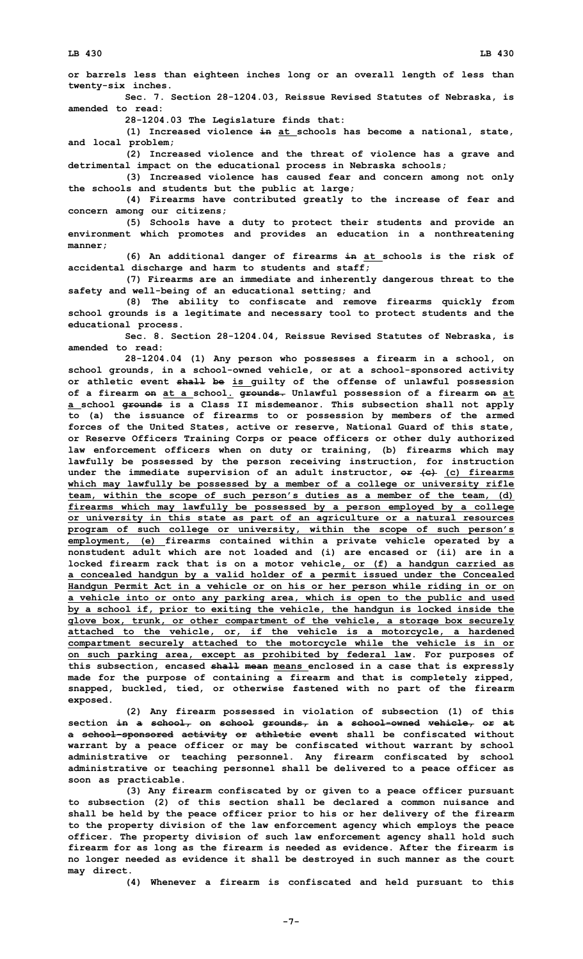**or barrels less than eighteen inches long or an overall length of less than twenty-six inches.**

**Sec. 7. Section 28-1204.03, Reissue Revised Statutes of Nebraska, is amended to read:**

**28-1204.03 The Legislature finds that:**

**(1) Increased violence in at schools has become <sup>a</sup> national, state, and local problem;**

**(2) Increased violence and the threat of violence has <sup>a</sup> grave and detrimental impact on the educational process in Nebraska schools;**

**(3) Increased violence has caused fear and concern among not only the schools and students but the public at large;**

**(4) Firearms have contributed greatly to the increase of fear and concern among our citizens;**

**(5) Schools have <sup>a</sup> duty to protect their students and provide an environment which promotes and provides an education in <sup>a</sup> nonthreatening manner;**

**(6) An additional danger of firearms in at schools is the risk of accidental discharge and harm to students and staff;**

**(7) Firearms are an immediate and inherently dangerous threat to the safety and well-being of an educational setting; and**

**(8) The ability to confiscate and remove firearms quickly from school grounds is <sup>a</sup> legitimate and necessary tool to protect students and the educational process.**

**Sec. 8. Section 28-1204.04, Reissue Revised Statutes of Nebraska, is amended to read:**

**28-1204.04 (1) Any person who possesses <sup>a</sup> firearm in <sup>a</sup> school, on school grounds, in <sup>a</sup> school-owned vehicle, or at <sup>a</sup> school-sponsored activity or athletic event shall be is guilty of the offense of unlawful possession of <sup>a</sup> firearm on at <sup>a</sup> school. grounds. Unlawful possession of <sup>a</sup> firearm on at <sup>a</sup> school grounds is <sup>a</sup> Class II misdemeanor. This subsection shall not apply to (a) the issuance of firearms to or possession by members of the armed forces of the United States, active or reserve, National Guard of this state, or Reserve Officers Training Corps or peace officers or other duly authorized law enforcement officers when on duty or training, (b) firearms which may lawfully be possessed by the person receiving instruction, for instruction under the immediate supervision of an adult instructor, or (c) (c) firearms which may lawfully be possessed by <sup>a</sup> member of <sup>a</sup> college or university rifle team, within the scope of such person's duties as <sup>a</sup> member of the team, (d) firearms which may lawfully be possessed by <sup>a</sup> person employed by <sup>a</sup> college or university in this state as part of an agriculture or <sup>a</sup> natural resources program of such college or university, within the scope of such person's employment, (e) firearms contained within <sup>a</sup> private vehicle operated by <sup>a</sup> nonstudent adult which are not loaded and (i) are encased or (ii) are in <sup>a</sup> locked firearm rack that is on <sup>a</sup> motor vehicle, or (f) <sup>a</sup> handgun carried as <sup>a</sup> concealed handgun by <sup>a</sup> valid holder of <sup>a</sup> permit issued under the Concealed Handgun Permit Act in <sup>a</sup> vehicle or on his or her person while riding in or on <sup>a</sup> vehicle into or onto any parking area, which is open to the public and used by <sup>a</sup> school if, prior to exiting the vehicle, the handgun is locked inside the glove box, trunk, or other compartment of the vehicle, <sup>a</sup> storage box securely attached to the vehicle, or, if the vehicle is <sup>a</sup> motorcycle, <sup>a</sup> hardened compartment securely attached to the motorcycle while the vehicle is in or on such parking area, except as prohibited by federal law. For purposes of this subsection, encased shall mean means enclosed in <sup>a</sup> case that is expressly made for the purpose of containing <sup>a</sup> firearm and that is completely zipped, snapped, buckled, tied, or otherwise fastened with no part of the firearm exposed.**

**(2) Any firearm possessed in violation of subsection (1) of this section in <sup>a</sup> school, on school grounds, in <sup>a</sup> school-owned vehicle, or at <sup>a</sup> school-sponsored activity or athletic event shall be confiscated without warrant by <sup>a</sup> peace officer or may be confiscated without warrant by school administrative or teaching personnel. Any firearm confiscated by school administrative or teaching personnel shall be delivered to <sup>a</sup> peace officer as soon as practicable.**

**(3) Any firearm confiscated by or given to <sup>a</sup> peace officer pursuant to subsection (2) of this section shall be declared <sup>a</sup> common nuisance and shall be held by the peace officer prior to his or her delivery of the firearm to the property division of the law enforcement agency which employs the peace officer. The property division of such law enforcement agency shall hold such firearm for as long as the firearm is needed as evidence. After the firearm is no longer needed as evidence it shall be destroyed in such manner as the court may direct.**

**(4) Whenever <sup>a</sup> firearm is confiscated and held pursuant to this**

**-7-**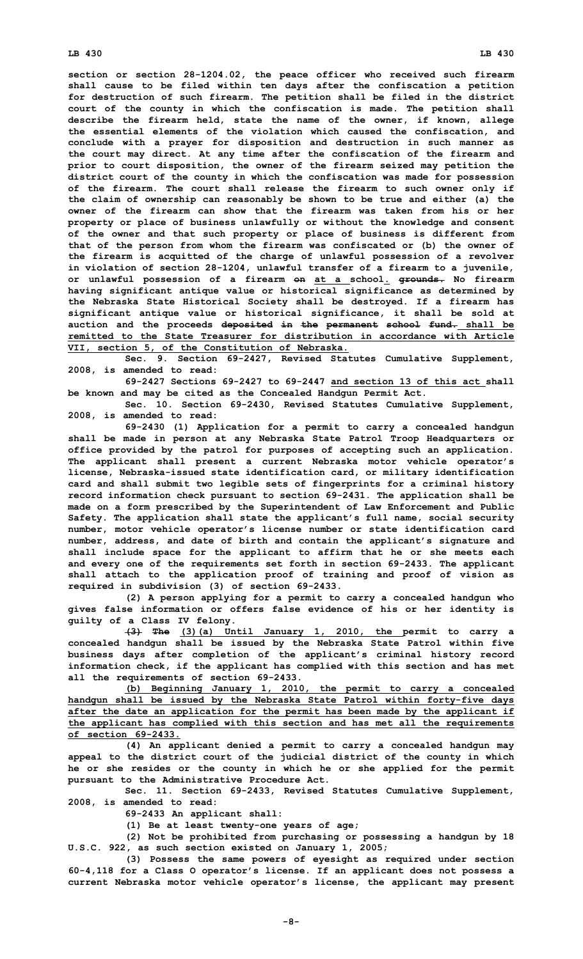## **LB 430 LB 430**

**section or section 28-1204.02, the peace officer who received such firearm shall cause to be filed within ten days after the confiscation <sup>a</sup> petition for destruction of such firearm. The petition shall be filed in the district court of the county in which the confiscation is made. The petition shall describe the firearm held, state the name of the owner, if known, allege the essential elements of the violation which caused the confiscation, and conclude with <sup>a</sup> prayer for disposition and destruction in such manner as the court may direct. At any time after the confiscation of the firearm and prior to court disposition, the owner of the firearm seized may petition the district court of the county in which the confiscation was made for possession of the firearm. The court shall release the firearm to such owner only if the claim of ownership can reasonably be shown to be true and either (a) the owner of the firearm can show that the firearm was taken from his or her property or place of business unlawfully or without the knowledge and consent of the owner and that such property or place of business is different from that of the person from whom the firearm was confiscated or (b) the owner of the firearm is acquitted of the charge of unlawful possession of <sup>a</sup> revolver in violation of section 28-1204, unlawful transfer of <sup>a</sup> firearm to <sup>a</sup> juvenile, or unlawful possession of <sup>a</sup> firearm on at <sup>a</sup> school. grounds. No firearm having significant antique value or historical significance as determined by the Nebraska State Historical Society shall be destroyed. If <sup>a</sup> firearm has significant antique value or historical significance, it shall be sold at auction and the proceeds deposited in the permanent school fund. shall be remitted to the State Treasurer for distribution in accordance with Article VII, section 5, of the Constitution of Nebraska.**

**Sec. 9. Section 69-2427, Revised Statutes Cumulative Supplement, 2008, is amended to read:**

**69-2427 Sections 69-2427 to 69-2447 and section 13 of this act shall be known and may be cited as the Concealed Handgun Permit Act.**

**Sec. 10. Section 69-2430, Revised Statutes Cumulative Supplement, 2008, is amended to read:**

**69-2430 (1) Application for <sup>a</sup> permit to carry <sup>a</sup> concealed handgun shall be made in person at any Nebraska State Patrol Troop Headquarters or office provided by the patrol for purposes of accepting such an application. The applicant shall present <sup>a</sup> current Nebraska motor vehicle operator's license, Nebraska-issued state identification card, or military identification card and shall submit two legible sets of fingerprints for <sup>a</sup> criminal history record information check pursuant to section 69-2431. The application shall be made on <sup>a</sup> form prescribed by the Superintendent of Law Enforcement and Public Safety. The application shall state the applicant's full name, social security number, motor vehicle operator's license number or state identification card number, address, and date of birth and contain the applicant's signature and shall include space for the applicant to affirm that he or she meets each and every one of the requirements set forth in section 69-2433. The applicant shall attach to the application proof of training and proof of vision as required in subdivision (3) of section 69-2433.**

**(2) <sup>A</sup> person applying for <sup>a</sup> permit to carry <sup>a</sup> concealed handgun who gives false information or offers false evidence of his or her identity is guilty of <sup>a</sup> Class IV felony.**

**(3) The (3)(a) Until January 1, 2010, the permit to carry <sup>a</sup> concealed handgun shall be issued by the Nebraska State Patrol within five business days after completion of the applicant's criminal history record information check, if the applicant has complied with this section and has met all the requirements of section 69-2433.**

**(b) Beginning January 1, 2010, the permit to carry <sup>a</sup> concealed handgun shall be issued by the Nebraska State Patrol within forty-five days after the date an application for the permit has been made by the applicant if the applicant has complied with this section and has met all the requirements of section 69-2433.**

**(4) An applicant denied <sup>a</sup> permit to carry <sup>a</sup> concealed handgun may appeal to the district court of the judicial district of the county in which he or she resides or the county in which he or she applied for the permit pursuant to the Administrative Procedure Act.**

**Sec. 11. Section 69-2433, Revised Statutes Cumulative Supplement, 2008, is amended to read:**

**69-2433 An applicant shall:**

**(1) Be at least twenty-one years of age;**

**(2) Not be prohibited from purchasing or possessing <sup>a</sup> handgun by 18 U.S.C. 922, as such section existed on January 1, 2005;**

**(3) Possess the same powers of eyesight as required under section 60-4,118 for <sup>a</sup> Class O operator's license. If an applicant does not possess <sup>a</sup> current Nebraska motor vehicle operator's license, the applicant may present**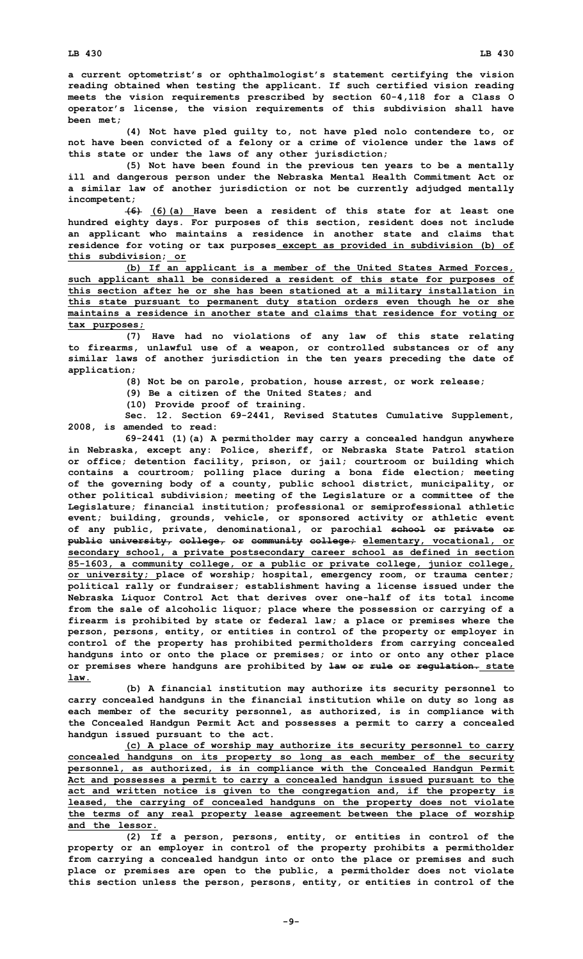**<sup>a</sup> current optometrist's or ophthalmologist's statement certifying the vision reading obtained when testing the applicant. If such certified vision reading meets the vision requirements prescribed by section 60-4,118 for <sup>a</sup> Class O operator's license, the vision requirements of this subdivision shall have been met;**

**(4) Not have pled guilty to, not have pled nolo contendere to, or not have been convicted of <sup>a</sup> felony or <sup>a</sup> crime of violence under the laws of this state or under the laws of any other jurisdiction;**

**(5) Not have been found in the previous ten years to be <sup>a</sup> mentally ill and dangerous person under the Nebraska Mental Health Commitment Act or <sup>a</sup> similar law of another jurisdiction or not be currently adjudged mentally incompetent;**

**(6) (6)(a) Have been <sup>a</sup> resident of this state for at least one hundred eighty days. For purposes of this section, resident does not include an applicant who maintains <sup>a</sup> residence in another state and claims that residence for voting or tax purposes except as provided in subdivision (b) of this subdivision; or**

**(b) If an applicant is <sup>a</sup> member of the United States Armed Forces, such applicant shall be considered <sup>a</sup> resident of this state for purposes of this section after he or she has been stationed at <sup>a</sup> military installation in this state pursuant to permanent duty station orders even though he or she maintains <sup>a</sup> residence in another state and claims that residence for voting or tax purposes;**

**(7) Have had no violations of any law of this state relating to firearms, unlawful use of <sup>a</sup> weapon, or controlled substances or of any similar laws of another jurisdiction in the ten years preceding the date of application;**

**(8) Not be on parole, probation, house arrest, or work release;**

**(9) Be <sup>a</sup> citizen of the United States; and**

**(10) Provide proof of training.**

**Sec. 12. Section 69-2441, Revised Statutes Cumulative Supplement, 2008, is amended to read:**

**69-2441 (1)(a) <sup>A</sup> permitholder may carry <sup>a</sup> concealed handgun anywhere in Nebraska, except any: Police, sheriff, or Nebraska State Patrol station or office; detention facility, prison, or jail; courtroom or building which contains <sup>a</sup> courtroom; polling place during <sup>a</sup> bona fide election; meeting of the governing body of <sup>a</sup> county, public school district, municipality, or other political subdivision; meeting of the Legislature or <sup>a</sup> committee of the Legislature; financial institution; professional or semiprofessional athletic event; building, grounds, vehicle, or sponsored activity or athletic event of any public, private, denominational, or parochial school or private or public university, college, or community college; elementary, vocational, or secondary school, <sup>a</sup> private postsecondary career school as defined in section 85-1603, <sup>a</sup> community college, or <sup>a</sup> public or private college, junior college, or university; place of worship; hospital, emergency room, or trauma center; political rally or fundraiser; establishment having <sup>a</sup> license issued under the Nebraska Liquor Control Act that derives over one-half of its total income from the sale of alcoholic liquor; place where the possession or carrying of <sup>a</sup> firearm is prohibited by state or federal law; <sup>a</sup> place or premises where the person, persons, entity, or entities in control of the property or employer in control of the property has prohibited permitholders from carrying concealed handguns into or onto the place or premises; or into or onto any other place or premises where handguns are prohibited by law or rule or regulation. state law.**

**(b) <sup>A</sup> financial institution may authorize its security personnel to carry concealed handguns in the financial institution while on duty so long as each member of the security personnel, as authorized, is in compliance with the Concealed Handgun Permit Act and possesses <sup>a</sup> permit to carry <sup>a</sup> concealed handgun issued pursuant to the act.**

**(c) <sup>A</sup> place of worship may authorize its security personnel to carry concealed handguns on its property so long as each member of the security personnel, as authorized, is in compliance with the Concealed Handgun Permit Act and possesses <sup>a</sup> permit to carry <sup>a</sup> concealed handgun issued pursuant to the act and written notice is given to the congregation and, if the property is leased, the carrying of concealed handguns on the property does not violate the terms of any real property lease agreement between the place of worship and the lessor.**

**(2) If <sup>a</sup> person, persons, entity, or entities in control of the property or an employer in control of the property prohibits <sup>a</sup> permitholder from carrying <sup>a</sup> concealed handgun into or onto the place or premises and such place or premises are open to the public, <sup>a</sup> permitholder does not violate this section unless the person, persons, entity, or entities in control of the**